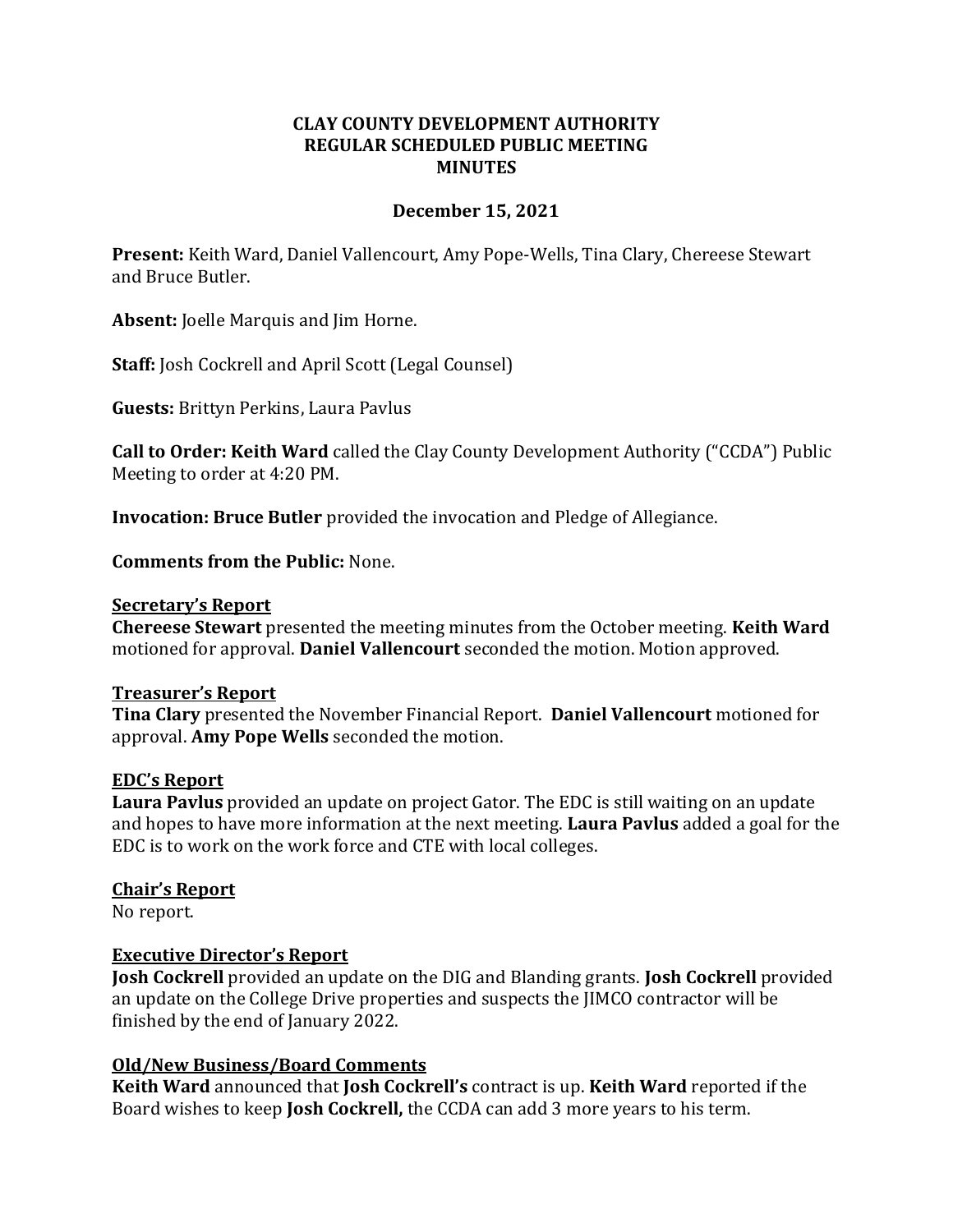# **CLAY COUNTY DEVELOPMENT AUTHORITY REGULAR SCHEDULED PUBLIC MEETING MINUTES**

# **December 15, 2021**

**Present:** Keith Ward, Daniel Vallencourt, Amy Pope-Wells, Tina Clary, Chereese Stewart and Bruce Butler.

**Absent:** Joelle Marquis and Jim Horne.

**Staff:** Josh Cockrell and April Scott (Legal Counsel)

**Guests:** Brittyn Perkins, Laura Pavlus

**Call to Order: Keith Ward** called the Clay County Development Authority ("CCDA") Public Meeting to order at 4:20 PM.

**Invocation: Bruce Butler** provided the invocation and Pledge of Allegiance.

**Comments from the Public:** None.

#### **Secretary's Report**

**Chereese Stewart** presented the meeting minutes from the October meeting. **Keith Ward**  motioned for approval. **Daniel Vallencourt** seconded the motion. Motion approved.

### **Treasurer's Report**

**Tina Clary** presented the November Financial Report. **Daniel Vallencourt** motioned for approval. **Amy Pope Wells** seconded the motion.

### **EDC's Report**

**Laura Pavlus** provided an update on project Gator. The EDC is still waiting on an update and hopes to have more information at the next meeting. **Laura Pavlus** added a goal for the EDC is to work on the work force and CTE with local colleges.

### **Chair's Report**

No report.

### **Executive Director's Report**

**Josh Cockrell** provided an update on the DIG and Blanding grants. **Josh Cockrell** provided an update on the College Drive properties and suspects the JIMCO contractor will be finished by the end of January 2022.

### **Old/New Business/Board Comments**

**Keith Ward** announced that **Josh Cockrell's** contract is up. **Keith Ward** reported if the Board wishes to keep **Josh Cockrell,** the CCDA can add 3 more years to his term.